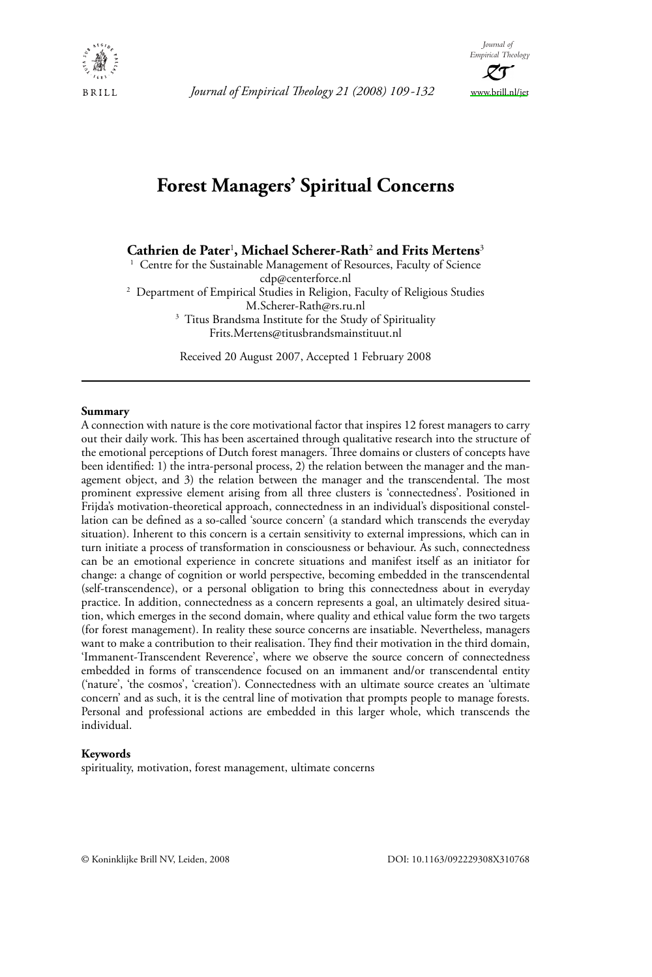

Journal of Empirical Theology 21 (2008) 109-132



# **Forest Managers' Spiritual Concerns**

Cathrien de Pater<sup>1</sup>, Michael Scherer-Rath<sup>2</sup> and Frits Mertens<sup>3</sup>

<sup>1</sup> Centre for the Sustainable Management of Resources, Faculty of Science cdp@centerforce.nl <sup>2</sup> Department of Empirical Studies in Religion, Faculty of Religious Studies M.Scherer-Rath@rs.ru.nl <sup>3</sup> Titus Brandsma Institute for the Study of Spirituality Frits.Mertens@titusbrandsmainstituut.nl

Received 20 August 2007, Accepted 1 February 2008

#### Summary

A connection with nature is the core motivational factor that inspires 12 forest managers to carry out their daily work. This has been ascertained through qualitative research into the structure of the emotional perceptions of Dutch forest managers. Three domains or clusters of concepts have been identified: 1) the intra-personal process, 2) the relation between the manager and the management object, and 3) the relation between the manager and the transcendental. The most prominent expressive element arising from all three clusters is 'connectedness'. Positioned in Frijda's motivation-theoretical approach, connectedness in an individual's dispositional constellation can be defined as a so-called 'source concern' (a standard which transcends the everyday situation). Inherent to this concern is a certain sensitivity to external impressions, which can in turn initiate a process of transformation in consciousness or behaviour. As such, connectedness can be an emotional experience in concrete situations and manifest itself as an initiator for change: a change of cognition or world perspective, becoming embedded in the transcendental (self-transcendence), or a personal obligation to bring this connectedness about in everyday practice. In addition, connectedness as a concern represents a goal, an ultimately desired situation, which emerges in the second domain, where quality and ethical value form the two targets (for forest management). In reality these source concerns are insatiable. Nevertheless, managers want to make a contribution to their realisation. They find their motivation in the third domain, 'Immanent-Transcendent Reverence', where we observe the source concern of connectedness embedded in forms of transcendence focused on an immanent and/or transcendental entity ('nature', 'the cosmos', 'creation'). Connectedness with an ultimate source creates an 'ultimate concern' and as such, it is the central line of motivation that prompts people to manage forests. Personal and professional actions are embedded in this larger whole, which transcends the individual.

#### Keywords

spirituality, motivation, forest management, ultimate concerns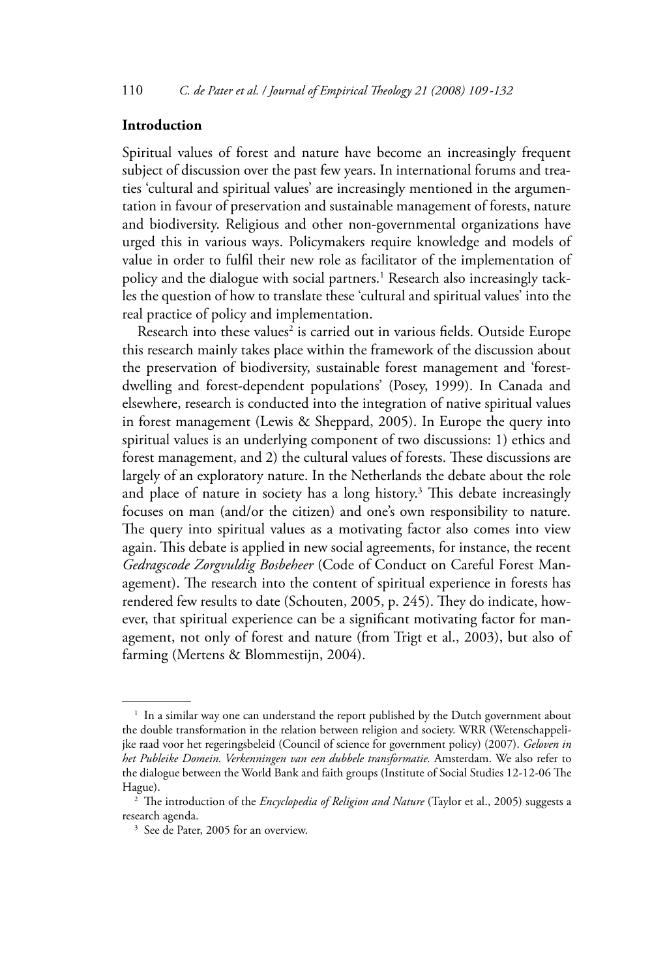## Introduction

Spiritual values of forest and nature have become an increasingly frequent subject of discussion over the past few years. In international forums and treaties 'cultural and spiritual values' are increasingly mentioned in the argumentation in favour of preservation and sustainable management of forests, nature and biodiversity. Religious and other non-governmental organizations have urged this in various ways. Policymakers require knowledge and models of value in order to fulfil their new role as facilitator of the implementation of policy and the dialogue with social partners.<sup>1</sup> Research also increasingly tackles the question of how to translate these 'cultural and spiritual values' into the real practice of policy and implementation.

Research into these values<sup>2</sup> is carried out in various fields. Outside Europe this research mainly takes place within the framework of the discussion about the preservation of biodiversity, sustainable forest management and 'forestdwelling and forest-dependent populations' (Posey, 1999). In Canada and elsewhere, research is conducted into the integration of native spiritual values in forest management (Lewis & Sheppard, 2005). In Europe the query into spiritual values is an underlying component of two discussions: 1) ethics and forest management, and 2) the cultural values of forests. These discussions are largely of an exploratory nature. In the Netherlands the debate about the role and place of nature in society has a long history.<sup>3</sup> This debate increasingly focuses on man (and/or the citizen) and one's own responsibility to nature. The query into spiritual values as a motivating factor also comes into view again. This debate is applied in new social agreements, for instance, the recent Gedragscode Zorgvuldig Bosbeheer (Code of Conduct on Careful Forest Management). The research into the content of spiritual experience in forests has rendered few results to date (Schouten, 2005, p. 245). They do indicate, however, that spiritual experience can be a significant motivating factor for management, not only of forest and nature (from Trigt et al., 2003), but also of farming (Mertens & Blommestijn, 2004).

<sup>&</sup>lt;sup>1</sup> In a similar way one can understand the report published by the Dutch government about the double transformation in the relation between religion and society. WRR (Wetenschappelijke raad voor het regeringsbeleid (Council of science for government policy) (2007). Geloven in het Publeike Domein. Verkenningen van een dubbele transformatie. Amsterdam. We also refer to the dialogue between the World Bank and faith groups (Institute of Social Studies 12-12-06 The Hague).

<sup>&</sup>lt;sup>2</sup> The introduction of the *Encyclopedia of Religion and Nature* (Taylor et al., 2005) suggests a research agenda.

<sup>&</sup>lt;sup>3</sup> See de Pater, 2005 for an overview.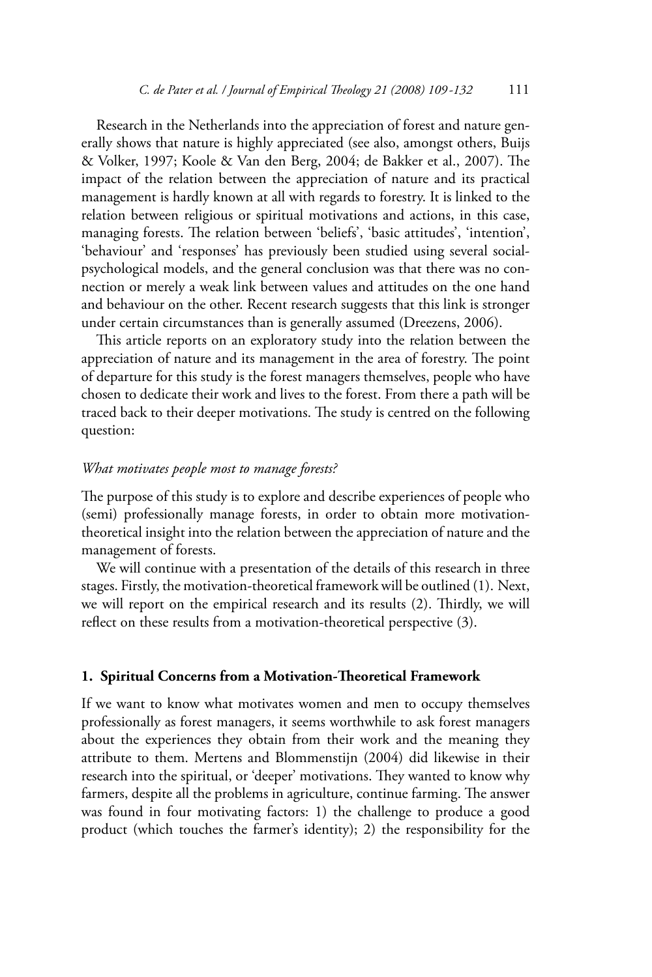Research in the Netherlands into the appreciation of forest and nature generally shows that nature is highly appreciated (see also, amongst others, Buijs & Volker, 1997; Koole & Van den Berg, 2004; de Bakker et al., 2007). The impact of the relation between the appreciation of nature and its practical management is hardly known at all with regards to forestry. It is linked to the relation between religious or spiritual motivations and actions, in this case, managing forests. The relation between 'beliefs', 'basic attitudes', 'intention', 'behaviour' and 'responses' has previously been studied using several socialpsychological models, and the general conclusion was that there was no connection or merely a weak link between values and attitudes on the one hand and behaviour on the other. Recent research suggests that this link is stronger under certain circumstances than is generally assumed (Dreezens, 2006).

This article reports on an exploratory study into the relation between the appreciation of nature and its management in the area of forestry. The point of departure for this study is the forest managers themselves, people who have chosen to dedicate their work and lives to the forest. From there a path will be traced back to their deeper motivations. The study is centred on the following question:

## What motivates people most to manage forests?

The purpose of this study is to explore and describe experiences of people who (semi) professionally manage forests, in order to obtain more motivationtheoretical insight into the relation between the appreciation of nature and the management of forests.

We will continue with a presentation of the details of this research in three stages. Firstly, the motivation-theoretical framework will be outlined (1). Next, we will report on the empirical research and its results (2). Thirdly, we will reflect on these results from a motivation-theoretical perspective (3).

## 1. Spiritual Concerns from a Motivation-Theoretical Framework

If we want to know what motivates women and men to occupy themselves professionally as forest managers, it seems worthwhile to ask forest managers about the experiences they obtain from their work and the meaning they attribute to them. Mertens and Blommenstijn (2004) did likewise in their research into the spiritual, or 'deeper' motivations. They wanted to know why farmers, despite all the problems in agriculture, continue farming. The answer was found in four motivating factors: 1) the challenge to produce a good product (which touches the farmer's identity); 2) the responsibility for the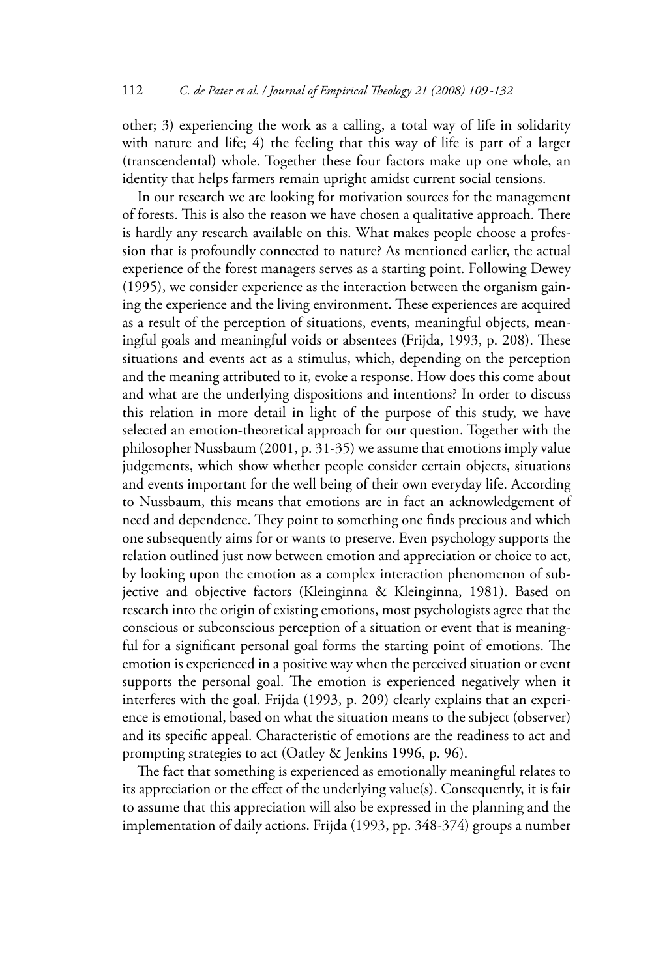other; 3) experiencing the work as a calling, a total way of life in solidarity with nature and life; 4) the feeling that this way of life is part of a larger (transcendental) whole. Together these four factors make up one whole, an identity that helps farmers remain upright amidst current social tensions.

In our research we are looking for motivation sources for the management of forests. This is also the reason we have chosen a qualitative approach. There is hardly any research available on this. What makes people choose a profession that is profoundly connected to nature? As mentioned earlier, the actual experience of the forest managers serves as a starting point. Following Dewey  $(1995)$ , we consider experience as the interaction between the organism gaining the experience and the living environment. These experiences are acquired as a result of the perception of situations, events, meaningful objects, meaningful goals and meaningful voids or absentees (Frijda, 1993, p. 208). These situations and events act as a stimulus, which, depending on the perception and the meaning attributed to it, evoke a response. How does this come about and what are the underlying dispositions and intentions? In order to discuss this relation in more detail in light of the purpose of this study, we have selected an emotion-theoretical approach for our question. Together with the philosopher Nussbaum (2001, p. 31-35) we assume that emotions imply value iudgements, which show whether people consider certain objects, situations and events important for the well being of their own everyday life. According to Nussbaum, this means that emotions are in fact an acknowledgement of need and dependence. They point to something one finds precious and which one subsequently aims for or wants to preserve. Even psychology supports the relation outlined just now between emotion and appreciation or choice to act, by looking upon the emotion as a complex interaction phenomenon of subjective and objective factors (Kleinginna & Kleinginna, 1981). Based on research into the origin of existing emotions, most psychologists agree that the conscious or subconscious perception of a situation or event that is meaningful for a significant personal goal forms the starting point of emotions. The emotion is experienced in a positive way when the perceived situation or event supports the personal goal. The emotion is experienced negatively when it interferes with the goal. Frijda (1993, p. 209) clearly explains that an experience is emotional, based on what the situation means to the subject (observer) and its specific appeal. Characteristic of emotions are the readiness to act and prompting strategies to act (Oatley & Jenkins 1996, p. 96).

The fact that something is experienced as emotionally meaningful relates to its appreciation or the effect of the underlying value(s). Consequently, it is fair to assume that this appreciation will also be expressed in the planning and the implementation of daily actions. Frijda (1993, pp. 348-374) groups a number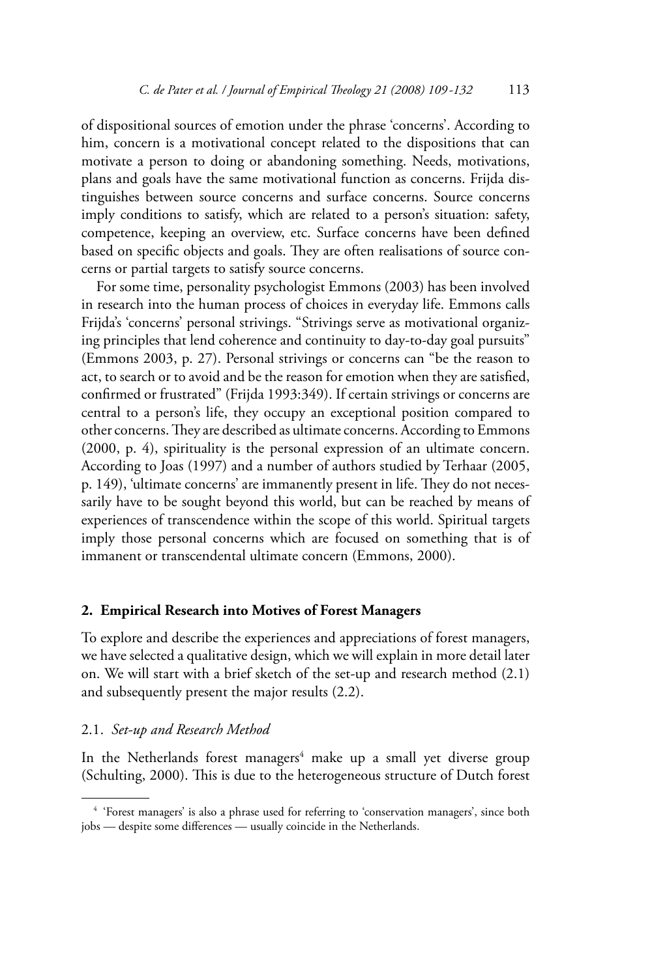of dispositional sources of emotion under the phrase 'concerns'. According to him, concern is a motivational concept related to the dispositions that can motivate a person to doing or abandoning something. Needs, motivations, plans and goals have the same motivational function as concerns. Frijda distinguishes between source concerns and surface concerns. Source concerns imply conditions to satisfy, which are related to a person's situation: safety, competence, keeping an overview, etc. Surface concerns have been defined based on specific objects and goals. They are often realisations of source concerns or partial targets to satisfy source concerns.

For some time, personality psychologist Emmons (2003) has been involved in research into the human process of choices in everyday life. Emmons calls Frijda's 'concerns' personal strivings. "Strivings serve as motivational organizing principles that lend coherence and continuity to day-to-day goal pursuits" (Emmons 2003, p. 27). Personal strivings or concerns can "be the reason to act, to search or to avoid and be the reason for emotion when they are satisfied, confirmed or frustrated" (Frijda 1993:349). If certain strivings or concerns are central to a person's life, they occupy an exceptional position compared to other concerns. They are described as ultimate concerns. According to Emmons (2000, p. 4), spirituality is the personal expression of an ultimate concern. According to Joas (1997) and a number of authors studied by Terhaar (2005, p. 149), 'ultimate concerns' are immanently present in life. They do not necessarily have to be sought beyond this world, but can be reached by means of experiences of transcendence within the scope of this world. Spiritual targets imply those personal concerns which are focused on something that is of immanent or transcendental ultimate concern (Emmons, 2000).

## 2. Empirical Research into Motives of Forest Managers

To explore and describe the experiences and appreciations of forest managers, we have selected a qualitative design, which we will explain in more detail later on. We will start with a brief sketch of the set-up and research method (2.1) and subsequently present the major results (2.2).

## 2.1. Set-up and Research Method

In the Netherlands forest managers<sup>4</sup> make up a small yet diverse group (Schulting, 2000). This is due to the heterogeneous structure of Dutch forest

<sup>&</sup>lt;sup>4</sup> 'Forest managers' is also a phrase used for referring to 'conservation managers', since both jobs - despite some differences - usually coincide in the Netherlands.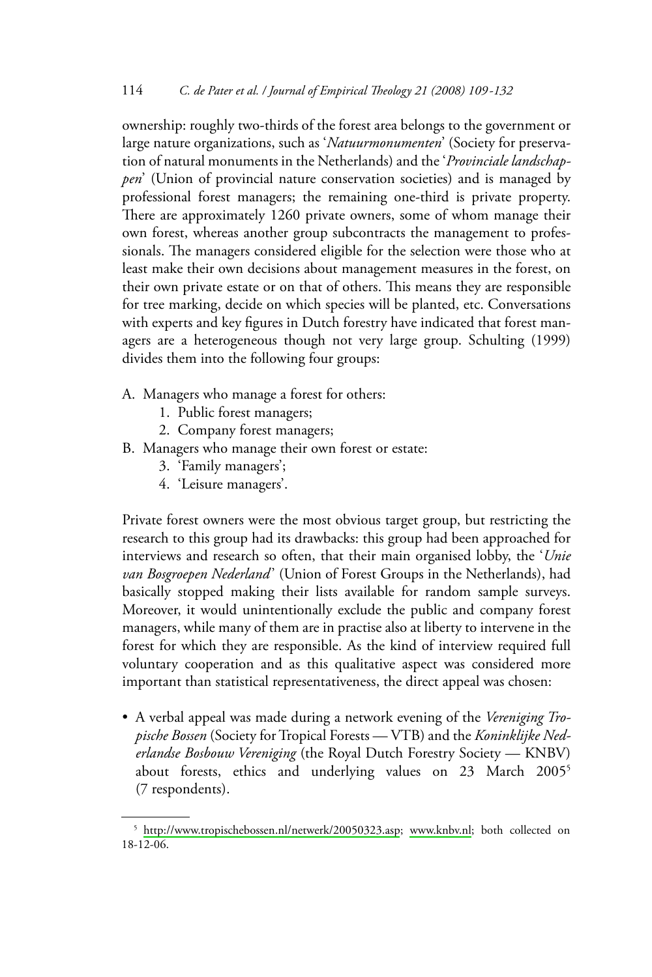ownership: roughly two-thirds of the forest area belongs to the government or large nature organizations, such as 'Natuurmonumenten' (Society for preservation of natural monuments in the Netherlands) and the 'Provinciale landschappen' (Union of provincial nature conservation societies) and is managed by professional forest managers; the remaining one-third is private property. There are approximately 1260 private owners, some of whom manage their own forest, whereas another group subcontracts the management to professionals. The managers considered eligible for the selection were those who at least make their own decisions about management measures in the forest, on their own private estate or on that of others. This means they are responsible for tree marking, decide on which species will be planted, etc. Conversations with experts and key figures in Dutch forestry have indicated that forest managers are a heterogeneous though not very large group. Schulting (1999) divides them into the following four groups:

- A. Managers who manage a forest for others:
	- 1. Public forest managers;
	- 2. Company forest managers;
- B. Managers who manage their own forest or estate:
	- 3. 'Family managers';
	- 4. 'Leisure managers'.

Private forest owners were the most obvious target group, but restricting the research to this group had its drawbacks: this group had been approached for interviews and research so often, that their main organised lobby, the 'Unie van Bosgroepen Nederland' (Union of Forest Groups in the Netherlands), had basically stopped making their lists available for random sample surveys. Moreover, it would unintentionally exclude the public and company forest managers, while many of them are in practise also at liberty to intervene in the forest for which they are responsible. As the kind of interview required full voluntary cooperation and as this qualitative aspect was considered more important than statistical representativeness, the direct appeal was chosen:

• A verbal appeal was made during a network evening of the Vereniging Tropische Bossen (Society for Tropical Forests - VTB) and the Koninklijke Nederlandse Bosbouw Vereniging (the Royal Dutch Forestry Society - KNBV) about forests, ethics and underlying values on 23 March 2005<sup>5</sup> (7 respondents).

<sup>&</sup>lt;sup>5</sup> http://www.tropischebossen.nl/netwerk/20050323.asp; www.knbv.nl; both collected on  $18 - 12 - 06$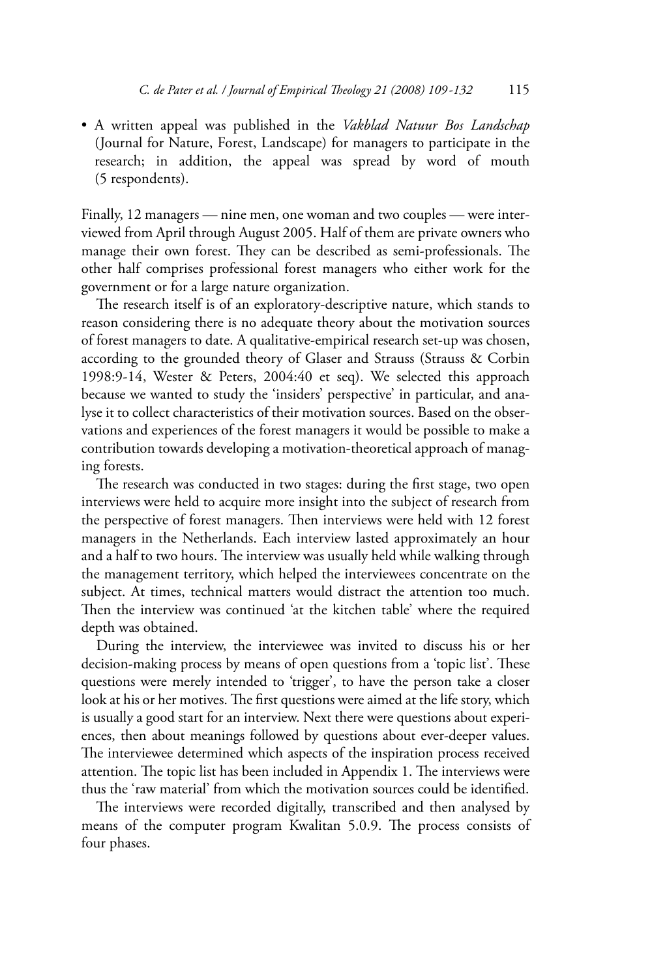• A written appeal was published in the Vakblad Natuur Bos Landschap (Journal for Nature, Forest, Landscape) for managers to participate in the research; in addition, the appeal was spread by word of mouth (5 respondents).

Finally, 12 managers - nine men, one woman and two couples - were interviewed from April through August 2005. Half of them are private owners who manage their own forest. They can be described as semi-professionals. The other half comprises professional forest managers who either work for the government or for a large nature organization.

The research itself is of an exploratory-descriptive nature, which stands to reason considering there is no adequate theory about the motivation sources of forest managers to date. A qualitative-empirical research set-up was chosen, according to the grounded theory of Glaser and Strauss (Strauss & Corbin 1998:9-14, Wester & Peters, 2004:40 et seq). We selected this approach because we wanted to study the 'insiders' perspective' in particular, and analyse it to collect characteristics of their motivation sources. Based on the observations and experiences of the forest managers it would be possible to make a contribution towards developing a motivation-theoretical approach of managing forests.

The research was conducted in two stages: during the first stage, two open interviews were held to acquire more insight into the subject of research from the perspective of forest managers. Then interviews were held with 12 forest managers in the Netherlands. Each interview lasted approximately an hour and a half to two hours. The interview was usually held while walking through the management territory, which helped the interviewees concentrate on the subject. At times, technical matters would distract the attention too much. Then the interview was continued 'at the kitchen table' where the required depth was obtained.

During the interview, the interviewee was invited to discuss his or her decision-making process by means of open questions from a 'topic list'. These questions were merely intended to 'trigger', to have the person take a closer look at his or her motives. The first questions were aimed at the life story, which is usually a good start for an interview. Next there were questions about experiences, then about meanings followed by questions about ever-deeper values. The interviewee determined which aspects of the inspiration process received attention. The topic list has been included in Appendix 1. The interviews were thus the 'raw material' from which the motivation sources could be identified.

The interviews were recorded digitally, transcribed and then analysed by means of the computer program Kwalitan 5.0.9. The process consists of four phases.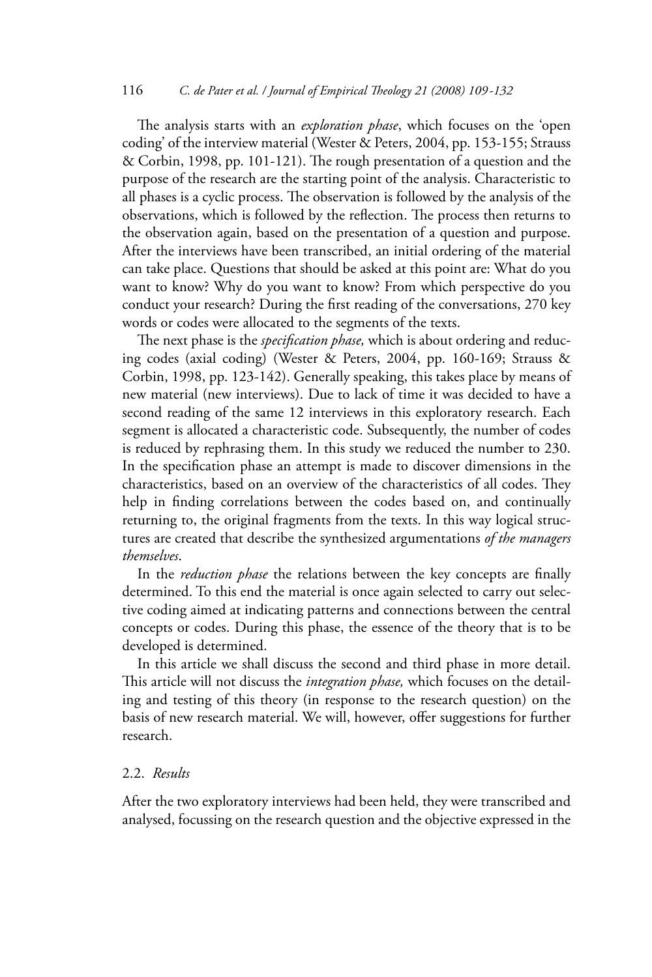The analysis starts with an exploration phase, which focuses on the 'open coding' of the interview material (Wester & Peters, 2004, pp. 153-155; Strauss & Corbin, 1998, pp. 101-121). The rough presentation of a question and the purpose of the research are the starting point of the analysis. Characteristic to all phases is a cyclic process. The observation is followed by the analysis of the observations, which is followed by the reflection. The process then returns to the observation again, based on the presentation of a question and purpose. After the interviews have been transcribed, an initial ordering of the material can take place. Questions that should be asked at this point are: What do you want to know? Why do you want to know? From which perspective do you conduct your research? During the first reading of the conversations, 270 key words or codes were allocated to the segments of the texts.

The next phase is the *specification phase*, which is about ordering and reducing codes (axial coding) (Wester & Peters, 2004, pp. 160-169; Strauss & Corbin, 1998, pp. 123-142). Generally speaking, this takes place by means of new material (new interviews). Due to lack of time it was decided to have a second reading of the same 12 interviews in this exploratory research. Each segment is allocated a characteristic code. Subsequently, the number of codes is reduced by rephrasing them. In this study we reduced the number to 230. In the specification phase an attempt is made to discover dimensions in the characteristics, based on an overview of the characteristics of all codes. They help in finding correlations between the codes based on, and continually returning to, the original fragments from the texts. In this way logical structures are created that describe the synthesized argumentations of the managers themselves.

In the reduction phase the relations between the key concepts are finally determined. To this end the material is once again selected to carry out selective coding aimed at indicating patterns and connections between the central concepts or codes. During this phase, the essence of the theory that is to be developed is determined.

In this article we shall discuss the second and third phase in more detail. This article will not discuss the integration phase, which focuses on the detailing and testing of this theory (in response to the research question) on the basis of new research material. We will, however, offer suggestions for further research.

## 2.2. Results

After the two exploratory interviews had been held, they were transcribed and analysed, focussing on the research question and the objective expressed in the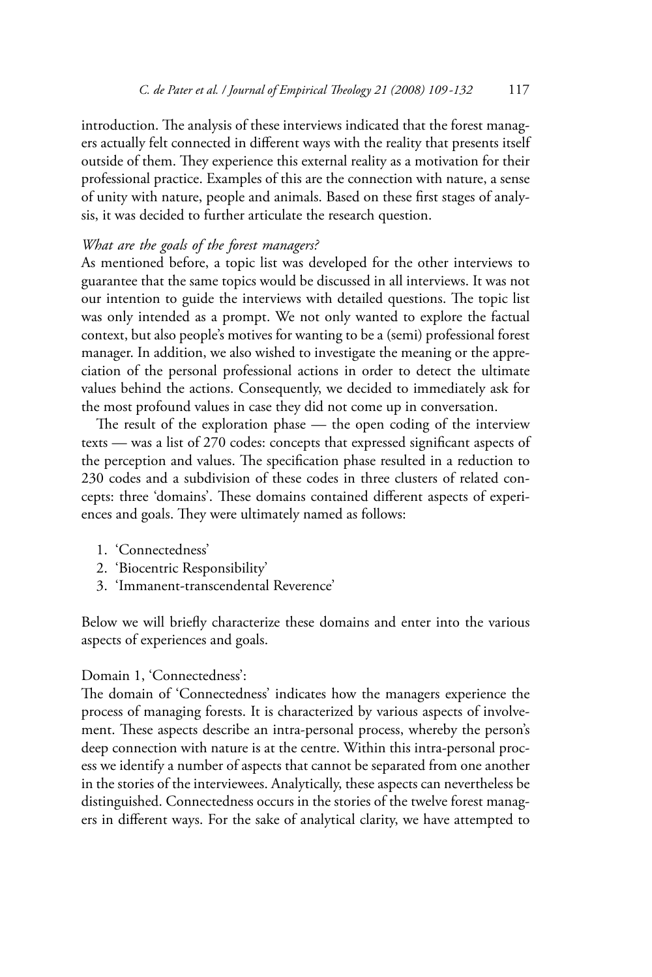introduction. The analysis of these interviews indicated that the forest managers actually felt connected in different ways with the reality that presents itself outside of them. They experience this external reality as a motivation for their professional practice. Examples of this are the connection with nature, a sense of unity with nature, people and animals. Based on these first stages of analysis, it was decided to further articulate the research question.

## What are the goals of the forest managers?

As mentioned before, a topic list was developed for the other interviews to guarantee that the same topics would be discussed in all interviews. It was not our intention to guide the interviews with detailed questions. The topic list was only intended as a prompt. We not only wanted to explore the factual context, but also people's motives for wanting to be a (semi) professional forest manager. In addition, we also wished to investigate the meaning or the appreciation of the personal professional actions in order to detect the ultimate values behind the actions. Consequently, we decided to immediately ask for the most profound values in case they did not come up in conversation.

The result of the exploration phase — the open coding of the interview texts — was a list of 270 codes: concepts that expressed significant aspects of the perception and values. The specification phase resulted in a reduction to 230 codes and a subdivision of these codes in three clusters of related concepts: three 'domains'. These domains contained different aspects of experiences and goals. They were ultimately named as follows:

- 1. 'Connectedness'
- 2. 'Biocentric Responsibility'
- 3. 'Immanent-transcendental Reverence'

Below we will briefly characterize these domains and enter into the various aspects of experiences and goals.

## Domain 1, 'Connectedness':

The domain of 'Connectedness' indicates how the managers experience the process of managing forests. It is characterized by various aspects of involvement. These aspects describe an intra-personal process, whereby the person's deep connection with nature is at the centre. Within this intra-personal process we identify a number of aspects that cannot be separated from one another in the stories of the interviewees. Analytically, these aspects can nevertheless be distinguished. Connectedness occurs in the stories of the twelve forest managers in different ways. For the sake of analytical clarity, we have attempted to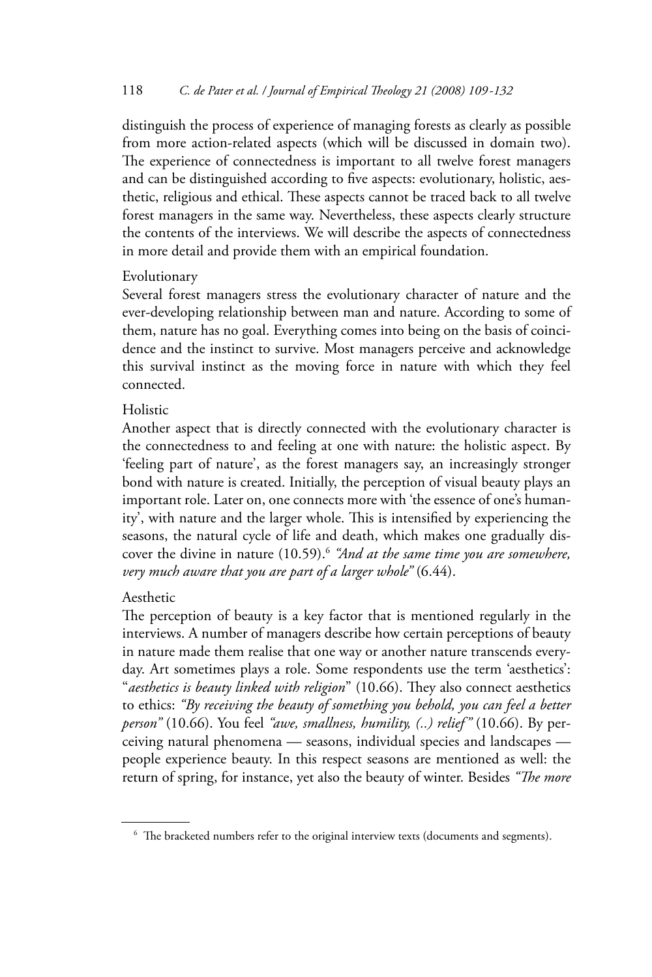distinguish the process of experience of managing forests as clearly as possible from more action-related aspects (which will be discussed in domain two). The experience of connectedness is important to all twelve forest managers and can be distinguished according to five aspects: evolutionary, holistic, aesthetic, religious and ethical. These aspects cannot be traced back to all twelve forest managers in the same way. Nevertheless, these aspects clearly structure the contents of the interviews. We will describe the aspects of connectedness in more detail and provide them with an empirical foundation.

## Evolutionary

Several forest managers stress the evolutionary character of nature and the ever-developing relationship between man and nature. According to some of them, nature has no goal. Everything comes into being on the basis of coincidence and the instinct to survive. Most managers perceive and acknowledge this survival instinct as the moving force in nature with which they feel connected

## Holistic

Another aspect that is directly connected with the evolutionary character is the connectedness to and feeling at one with nature: the holistic aspect. By 'feeling part of nature', as the forest managers say, an increasingly stronger bond with nature is created. Initially, the perception of visual beauty plays an important role. Later on, one connects more with 'the essence of one's humanity', with nature and the larger whole. This is intensified by experiencing the seasons, the natural cycle of life and death, which makes one gradually discover the divine in nature (10.59).<sup>6</sup> "And at the same time you are somewhere, very much aware that you are part of a larger whole" (6.44).

## Aesthetic

The perception of beauty is a key factor that is mentioned regularly in the interviews. A number of managers describe how certain perceptions of beauty in nature made them realise that one way or another nature transcends everyday. Art sometimes plays a role. Some respondents use the term 'aesthetics': "aesthetics is beauty linked with religion" (10.66). They also connect aesthetics to ethics: "By receiving the beauty of something you behold, you can feel a better person" (10.66). You feel "awe, smallness, humility, (..) relief" (10.66). By perceiving natural phenomena - seasons, individual species and landscapes people experience beauty. In this respect seasons are mentioned as well: the return of spring, for instance, yet also the beauty of winter. Besides "The more

<sup>&</sup>lt;sup>6</sup> The bracketed numbers refer to the original interview texts (documents and segments).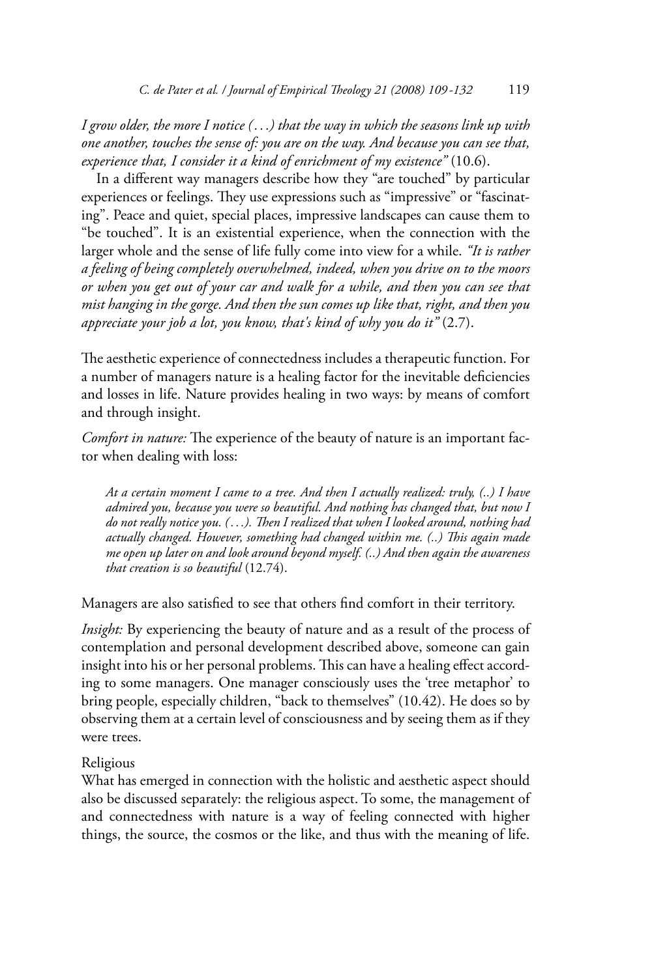I grow older, the more I notice  $(...)$  that the way in which the seasons link up with one another, touches the sense of: you are on the way. And because you can see that, experience that, I consider it a kind of enrichment of my existence"  $(10.6)$ .

In a different way managers describe how they "are touched" by particular experiences or feelings. They use expressions such as "impressive" or "fascinating". Peace and quiet, special places, impressive landscapes can cause them to "be touched". It is an existential experience, when the connection with the larger whole and the sense of life fully come into view for a while. "It is rather a feeling of being completely overwhelmed, indeed, when you drive on to the moors or when you get out of your car and walk for a while, and then you can see that mist hanging in the gorge. And then the sun comes up like that, right, and then you appreciate your job a lot, you know, that's kind of why you do it"  $(2.7)$ .

The aesthetic experience of connectedness includes a therapeutic function. For a number of managers nature is a healing factor for the inevitable deficiencies and losses in life. Nature provides healing in two ways: by means of comfort and through insight.

Comfort in nature: The experience of the beauty of nature is an important factor when dealing with loss:

At a certain moment I came to a tree. And then I actually realized: truly, (..) I have admired you, because you were so beautiful. And nothing has changed that, but now I do not really notice you. (...). Then I realized that when I looked around, nothing had actually changed. However, something had changed within me. (..) This again made me open up later on and look around beyond myself. (..) And then again the awareness that creation is so beautiful  $(12.74)$ .

Managers are also satisfied to see that others find comfort in their territory.

Insight: By experiencing the beauty of nature and as a result of the process of contemplation and personal development described above, someone can gain insight into his or her personal problems. This can have a healing effect according to some managers. One manager consciously uses the 'tree metaphor' to bring people, especially children, "back to themselves" (10.42). He does so by observing them at a certain level of consciousness and by seeing them as if they were trees.

#### Religious

What has emerged in connection with the holistic and aesthetic aspect should also be discussed separately: the religious aspect. To some, the management of and connectedness with nature is a way of feeling connected with higher things, the source, the cosmos or the like, and thus with the meaning of life.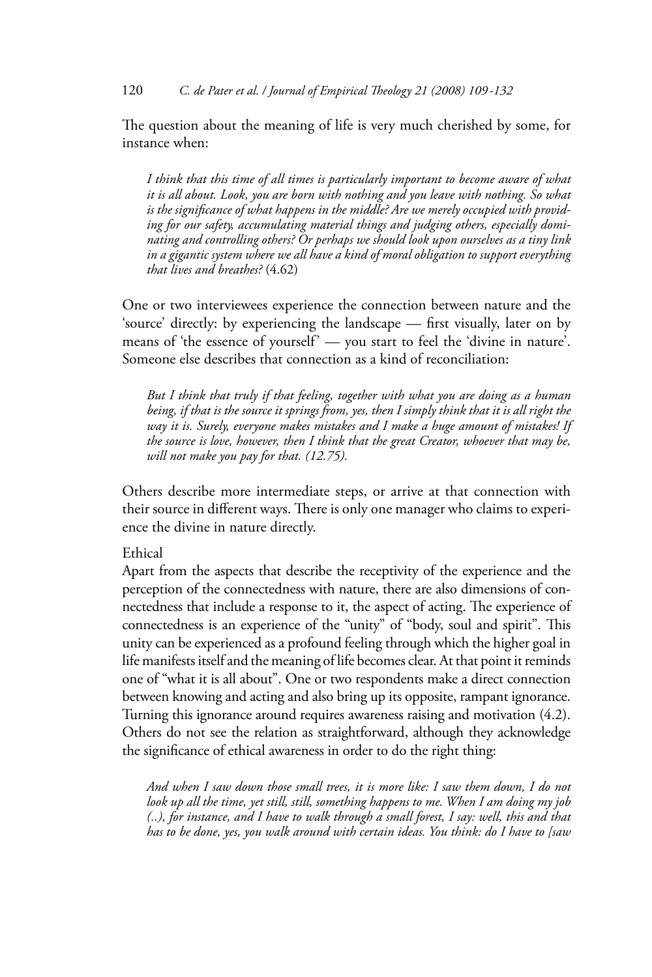The question about the meaning of life is very much cherished by some, for instance when:

I think that this time of all times is particularly important to become aware of what it is all about. Look, you are born with nothing and you leave with nothing. So what is the significance of what happens in the middle? Are we merely occupied with providing for our safety, accumulating material things and judging others, especially dominating and controlling others? Or perhaps we should look upon ourselves as a tiny link in a gigantic system where we all have a kind of moral obligation to support everything that lives and breathes? (4.62)

One or two interviewees experience the connection between nature and the 'source' directly: by experiencing the landscape - first visually, later on by means of 'the essence of yourself' — you start to feel the 'divine in nature'. Someone else describes that connection as a kind of reconciliation.

But I think that truly if that feeling, together with what you are doing as a human being, if that is the source it springs from, yes, then I simply think that it is all right the way it is. Surely, everyone makes mistakes and I make a huge amount of mistakes! If the source is love, however, then I think that the great Creator, whoever that may be, will not make you pay for that. (12.75).

Others describe more intermediate steps, or arrive at that connection with their source in different ways. There is only one manager who claims to experience the divine in nature directly.

## Frhical

Apart from the aspects that describe the receptivity of the experience and the perception of the connectedness with nature, there are also dimensions of connectedness that include a response to it, the aspect of acting. The experience of connectedness is an experience of the "unity" of "body, soul and spirit". This unity can be experienced as a profound feeling through which the higher goal in life manifests itself and the meaning of life becomes clear. At that point it reminds one of "what it is all about". One or two respondents make a direct connection between knowing and acting and also bring up its opposite, rampant ignorance. Turning this ignorance around requires awareness raising and motivation (4.2). Others do not see the relation as straightforward, although they acknowledge the significance of ethical awareness in order to do the right thing:

And when I saw down those small trees, it is more like: I saw them down, I do not look up all the time, yet still, still, something happens to me. When I am doing my job (..), for instance, and I have to walk through a small forest, I say: well, this and that has to be done, yes, you walk around with certain ideas. You think: do I have to [saw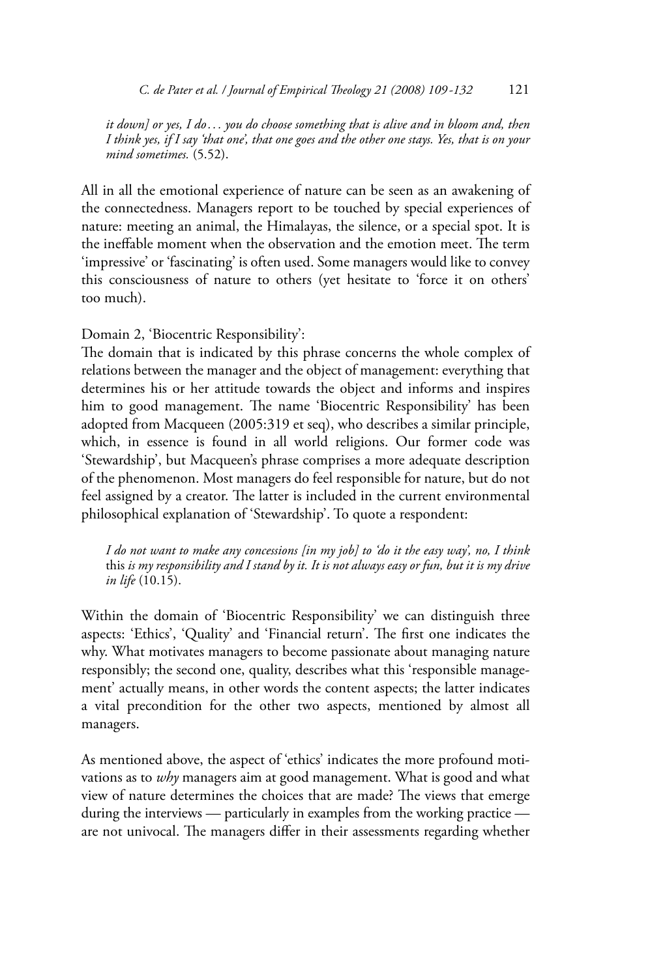it down] or yes, I do... you do choose something that is alive and in bloom and, then I think yes, if I say 'that one', that one goes and the other one stays. Yes, that is on your mind sometimes. (5.52).

All in all the emotional experience of nature can be seen as an awakening of the connectedness. Managers report to be touched by special experiences of nature: meeting an animal, the Himalayas, the silence, or a special spot. It is the ineffable moment when the observation and the emotion meet. The term 'impressive' or 'fascinating' is often used. Some managers would like to convey this consciousness of nature to others (yet hesitate to 'force it on others' too much).

Domain 2, 'Biocentric Responsibility':

The domain that is indicated by this phrase concerns the whole complex of relations between the manager and the object of management: everything that determines his or her attitude towards the object and informs and inspires him to good management. The name 'Biocentric Responsibility' has been adopted from Macqueen (2005:319 et seq), who describes a similar principle, which, in essence is found in all world religions. Our former code was 'Stewardship', but Macqueen's phrase comprises a more adequate description of the phenomenon. Most managers do feel responsible for nature, but do not feel assigned by a creator. The latter is included in the current environmental philosophical explanation of 'Stewardship'. To quote a respondent:

I do not want to make any concessions [in my job] to 'do it the easy way', no, I think this is my responsibility and I stand by it. It is not always easy or fun, but it is my drive in life  $(10.15)$ .

Within the domain of 'Biocentric Responsibility' we can distinguish three aspects: 'Ethics', 'Quality' and 'Financial return'. The first one indicates the why. What motivates managers to become passionate about managing nature responsibly; the second one, quality, describes what this 'responsible management' actually means, in other words the content aspects; the latter indicates a vital precondition for the other two aspects, mentioned by almost all managers.

As mentioned above, the aspect of 'ethics' indicates the more profound motivations as to why managers aim at good management. What is good and what view of nature determines the choices that are made? The views that emerge during the interviews — particularly in examples from the working practice are not univocal. The managers differ in their assessments regarding whether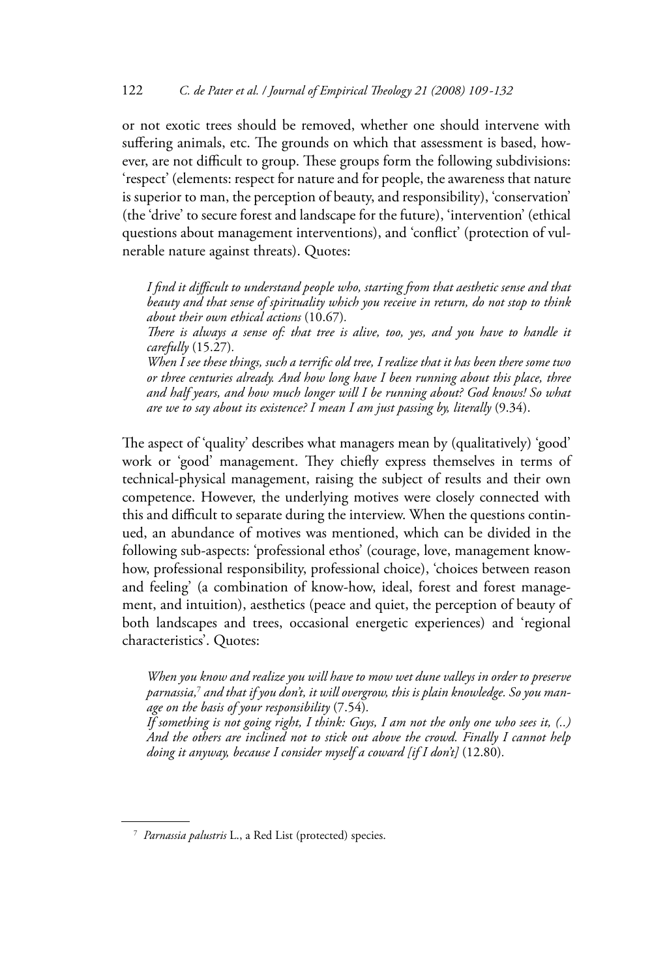or not exotic trees should be removed, whether one should intervene with suffering animals, etc. The grounds on which that assessment is based, however, are not difficult to group. These groups form the following subdivisions: 'respect' (elements: respect for nature and for people, the awareness that nature is superior to man, the perception of beauty, and responsibility), 'conservation' (the 'drive' to secure forest and landscape for the future), 'intervention' (ethical questions about management interventions), and 'conflict' (protection of vulnerable nature against threats). Quotes:

I find it difficult to understand people who, starting from that aesthetic sense and that beauty and that sense of spirituality which you receive in return, do not stop to think about their own ethical actions (10.67).

There is always a sense of: that tree is alive, too, yes, and you have to handle it carefully (15.27).

When I see these things, such a terrific old tree, I realize that it has been there some two or three centuries already. And how long have I been running about this place, three and half years, and how much longer will I be running about? God knows! So what are we to say about its existence? I mean I am just passing by, literally (9.34).

The aspect of 'quality' describes what managers mean by (qualitatively) 'good' work or 'good' management. They chiefly express themselves in terms of technical-physical management, raising the subject of results and their own competence. However, the underlying motives were closely connected with this and difficult to separate during the interview. When the questions continued, an abundance of motives was mentioned, which can be divided in the following sub-aspects: 'professional ethos' (courage, love, management knowhow, professional responsibility, professional choice), 'choices between reason and feeling' (a combination of know-how, ideal, forest and forest management, and intuition), aesthetics (peace and quiet, the perception of beauty of both landscapes and trees, occasional energetic experiences) and 'regional characteristics'. Quotes:

When you know and realize you will have to mow wet dune valleys in order to preserve parnassia,<sup>7</sup> and that if you don't, it will overgrow, this is plain knowledge. So you manage on the basis of your responsibility  $(7.54)$ .

If something is not going right, I think: Guys, I am not the only one who sees it,  $(.)$ And the others are inclined not to stick out above the crowd. Finally I cannot help doing it anyway, because I consider myself a coward [if I don't] (12.80).

<sup>&</sup>lt;sup>7</sup> Parnassia palustris L., a Red List (protected) species.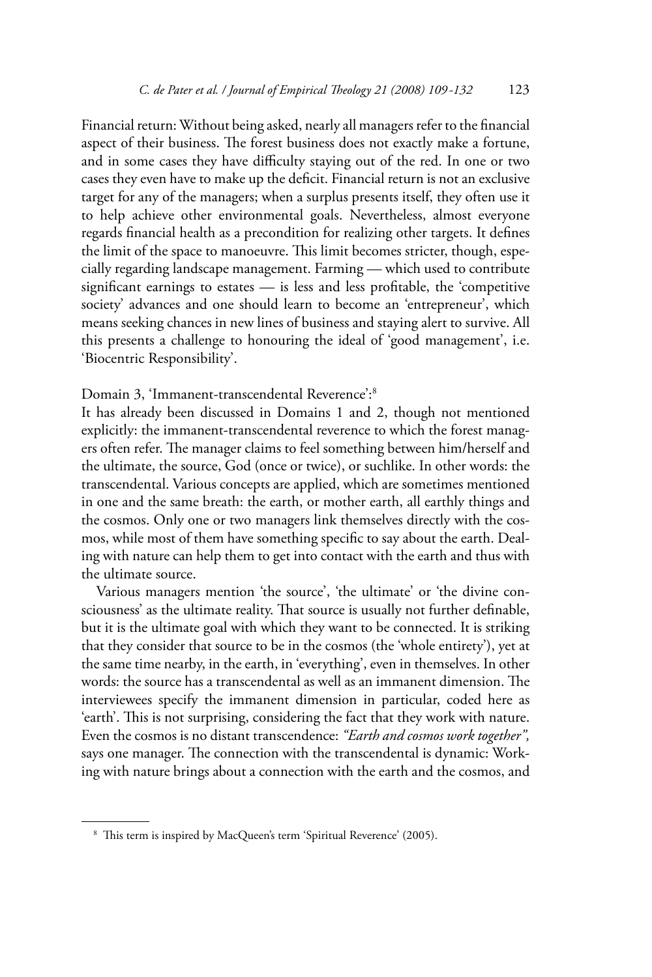Financial return: Without being asked, nearly all managers refer to the financial aspect of their business. The forest business does not exactly make a fortune, and in some cases they have difficulty staying out of the red. In one or two cases they even have to make up the deficit. Financial return is not an exclusive target for any of the managers; when a surplus presents itself, they often use it to help achieve other environmental goals. Nevertheless, almost everyone regards financial health as a precondition for realizing other targets. It defines the limit of the space to manoeuvre. This limit becomes stricter, though, especially regarding landscape management. Farming - which used to contribute significant earnings to estates — is less and less profitable, the 'competitive society' advances and one should learn to become an 'entrepreneur', which means seeking chances in new lines of business and staying alert to survive. All this presents a challenge to honouring the ideal of 'good management', i.e. 'Biocentric Responsibility'.

Domain 3, 'Immanent-transcendental Reverence':8

It has already been discussed in Domains 1 and 2, though not mentioned explicitly: the immanent-transcendental reverence to which the forest managers often refer. The manager claims to feel something between him/herself and the ultimate, the source, God (once or twice), or suchlike. In other words: the transcendental. Various concepts are applied, which are sometimes mentioned in one and the same breath: the earth, or mother earth, all earthly things and the cosmos. Only one or two managers link themselves directly with the cosmos, while most of them have something specific to say about the earth. Dealing with nature can help them to get into contact with the earth and thus with the ultimate source.

Various managers mention 'the source', 'the ultimate' or 'the divine consciousness' as the ultimate reality. That source is usually not further definable, but it is the ultimate goal with which they want to be connected. It is striking that they consider that source to be in the cosmos (the 'whole entirety'), yet at the same time nearby, in the earth, in 'everything', even in themselves. In other words: the source has a transcendental as well as an immanent dimension. The interviewees specify the immanent dimension in particular, coded here as 'earth'. This is not surprising, considering the fact that they work with nature. Even the cosmos is no distant transcendence: "Earth and cosmos work together", says one manager. The connection with the transcendental is dynamic: Working with nature brings about a connection with the earth and the cosmos, and

<sup>&</sup>lt;sup>8</sup> This term is inspired by MacQueen's term 'Spiritual Reverence' (2005).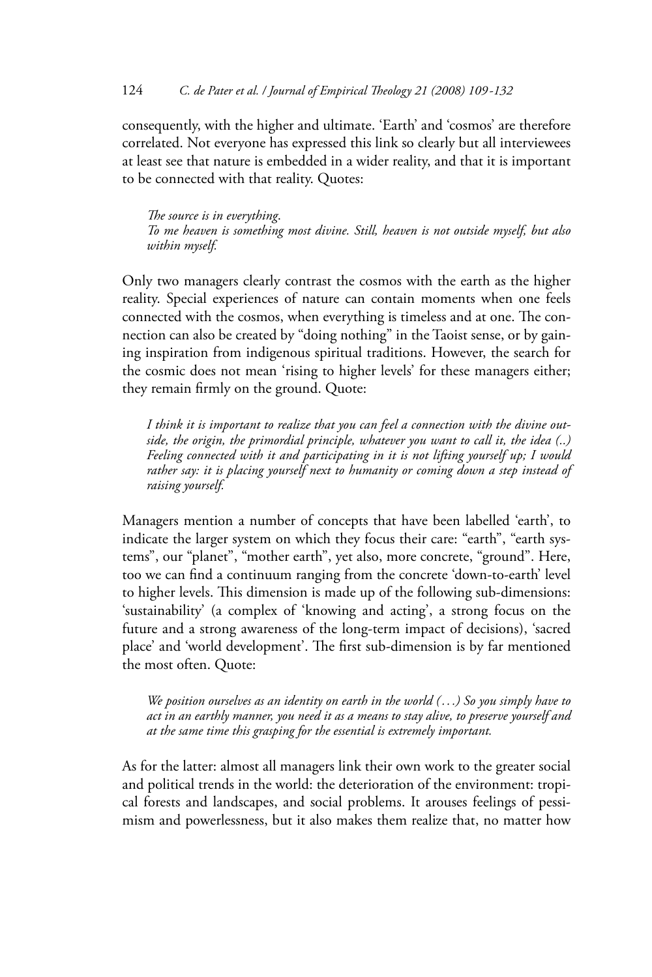consequently, with the higher and ultimate. 'Earth' and 'cosmos' are therefore correlated. Not everyone has expressed this link so clearly but all interviewees at least see that nature is embedded in a wider reality, and that it is important to be connected with that reality. Quotes:

The source is in everything. To me heaven is something most divine. Still, heaven is not outside myself, but also within myself.

Only two managers clearly contrast the cosmos with the earth as the higher reality. Special experiences of nature can contain moments when one feels connected with the cosmos, when everything is timeless and at one. The connection can also be created by "doing nothing" in the Taoist sense, or by gaining inspiration from indigenous spiritual traditions. However, the search for the cosmic does not mean 'rising to higher levels' for these managers either; they remain firmly on the ground. Quote:

I think it is important to realize that you can feel a connection with the divine outside, the origin, the primordial principle, whatever you want to call it, the idea (..) Feeling connected with it and participating in it is not lifting yourself up; I would rather say: it is placing yourself next to humanity or coming down a step instead of raising yourself.

Managers mention a number of concepts that have been labelled 'earth', to indicate the larger system on which they focus their care: "earth", "earth systems", our "planet", "mother earth", yet also, more concrete, "ground". Here, too we can find a continuum ranging from the concrete 'down-to-earth' level to higher levels. This dimension is made up of the following sub-dimensions: 'sustainability' (a complex of 'knowing and acting', a strong focus on the future and a strong awareness of the long-term impact of decisions), 'sacred place' and 'world development'. The first sub-dimension is by far mentioned the most often. Quote:

We position ourselves as an identity on earth in the world  $(...)$  So you simply have to act in an earthly manner, you need it as a means to stay alive, to preserve yourself and at the same time this grasping for the essential is extremely important.

As for the latter: almost all managers link their own work to the greater social and political trends in the world: the deterioration of the environment: tropical forests and landscapes, and social problems. It arouses feelings of pessimism and powerlessness, but it also makes them realize that, no matter how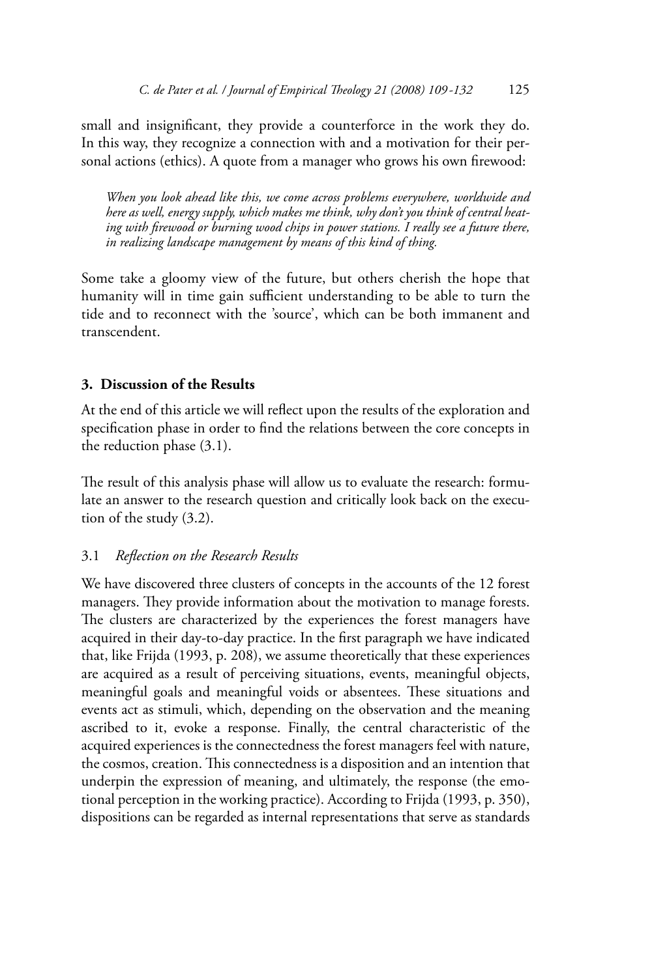small and insignificant, they provide a counterforce in the work they do. In this way, they recognize a connection with and a motivation for their personal actions (ethics). A quote from a manager who grows his own firewood:

When you look ahead like this, we come across problems everywhere, worldwide and here as well, energy supply, which makes me think, why don't you think of central heating with firewood or burning wood chips in power stations. I really see a future there, in realizing landscape management by means of this kind of thing.

Some take a gloomy view of the future, but others cherish the hope that humanity will in time gain sufficient understanding to be able to turn the tide and to reconnect with the 'source', which can be both immanent and transcendent.

## 3. Discussion of the Results

At the end of this article we will reflect upon the results of the exploration and specification phase in order to find the relations between the core concepts in the reduction phase  $(3.1)$ .

The result of this analysis phase will allow us to evaluate the research: formulate an answer to the research question and critically look back on the execution of the study (3.2).

#### Reflection on the Research Results  $3.1$

We have discovered three clusters of concepts in the accounts of the 12 forest managers. They provide information about the motivation to manage forests. The clusters are characterized by the experiences the forest managers have acquired in their day-to-day practice. In the first paragraph we have indicated that, like Frijda (1993, p. 208), we assume theoretically that these experiences are acquired as a result of perceiving situations, events, meaningful objects, meaningful goals and meaningful voids or absentees. These situations and events act as stimuli, which, depending on the observation and the meaning ascribed to it, evoke a response. Finally, the central characteristic of the acquired experiences is the connectedness the forest managers feel with nature, the cosmos, creation. This connectedness is a disposition and an intention that underpin the expression of meaning, and ultimately, the response (the emotional perception in the working practice). According to Frijda (1993, p. 350), dispositions can be regarded as internal representations that serve as standards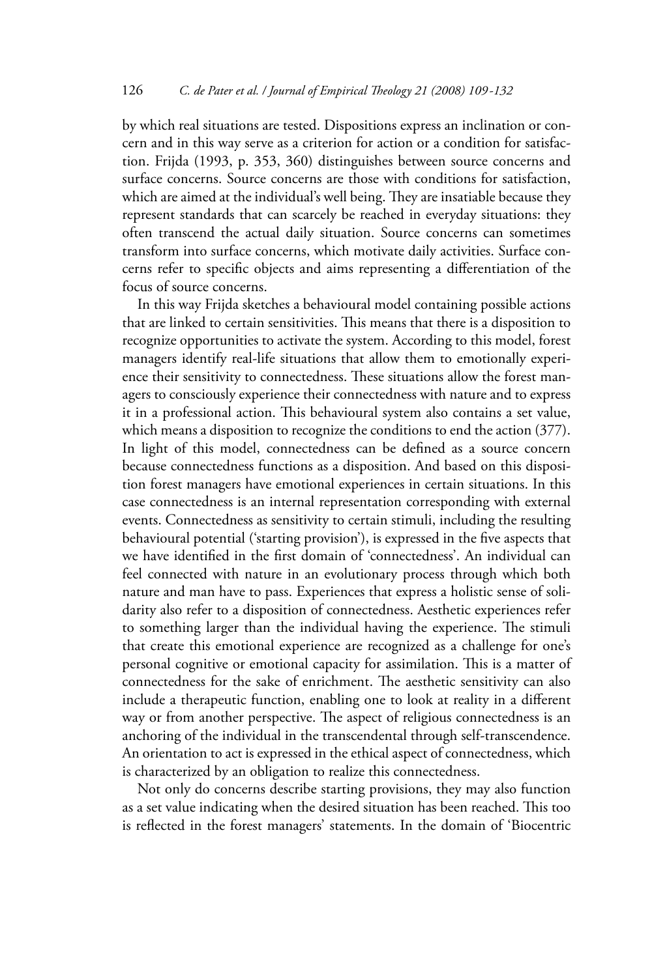by which real situations are tested. Dispositions express an inclination or concern and in this way serve as a criterion for action or a condition for satisfaction. Frijda (1993, p. 353, 360) distinguishes between source concerns and surface concerns. Source concerns are those with conditions for satisfaction, which are aimed at the individual's well being. They are insatiable because they represent standards that can scarcely be reached in everyday situations: they often transcend the actual daily situation. Source concerns can sometimes transform into surface concerns, which motivate daily activities. Surface concerns refer to specific objects and aims representing a differentiation of the focus of source concerns.

In this way Frijda sketches a behavioural model containing possible actions that are linked to certain sensitivities. This means that there is a disposition to recognize opportunities to activate the system. According to this model, forest managers identify real-life situations that allow them to emotionally experience their sensitivity to connectedness. These situations allow the forest managers to consciously experience their connectedness with nature and to express it in a professional action. This behavioural system also contains a set value, which means a disposition to recognize the conditions to end the action  $(377)$ . In light of this model, connectedness can be defined as a source concern because connectedness functions as a disposition. And based on this disposition forest managers have emotional experiences in certain situations. In this case connectedness is an internal representation corresponding with external events. Connectedness as sensitivity to certain stimuli, including the resulting behavioural potential ('starting provision'), is expressed in the five aspects that we have identified in the first domain of 'connectedness'. An individual can feel connected with nature in an evolutionary process through which both nature and man have to pass. Experiences that express a holistic sense of solidarity also refer to a disposition of connectedness. Aesthetic experiences refer to something larger than the individual having the experience. The stimuli that create this emotional experience are recognized as a challenge for one's personal cognitive or emotional capacity for assimilation. This is a matter of connectedness for the sake of enrichment. The aesthetic sensitivity can also include a therapeutic function, enabling one to look at reality in a different way or from another perspective. The aspect of religious connectedness is an anchoring of the individual in the transcendental through self-transcendence. An orientation to act is expressed in the ethical aspect of connectedness, which is characterized by an obligation to realize this connectedness.

Not only do concerns describe starting provisions, they may also function as a set value indicating when the desired situation has been reached. This too is reflected in the forest managers' statements. In the domain of 'Biocentric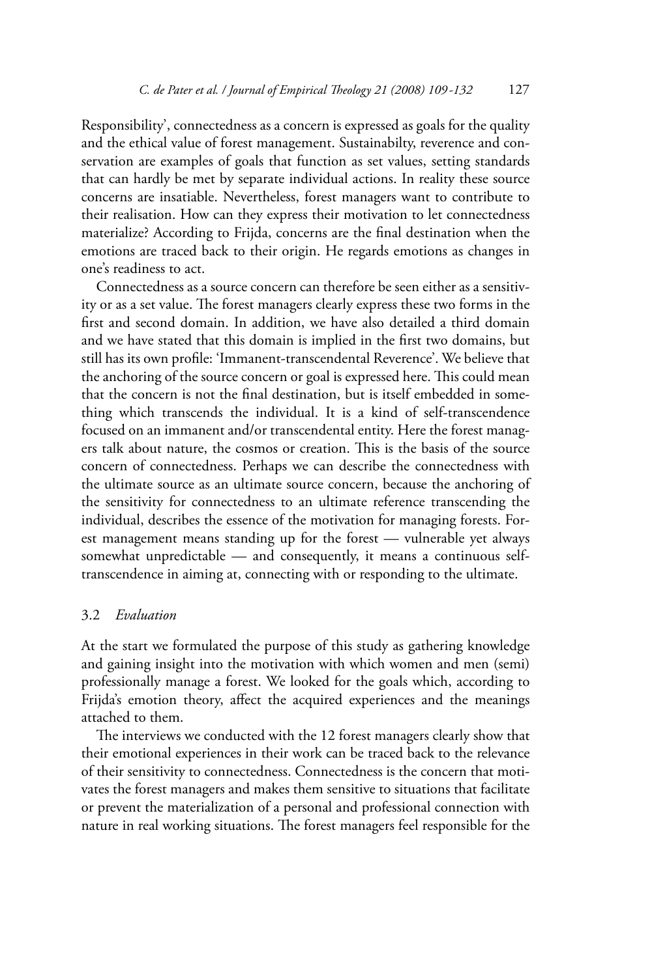Responsibility', connectedness as a concern is expressed as goals for the quality and the ethical value of forest management. Sustainabilty, reverence and conservation are examples of goals that function as set values, setting standards that can hardly be met by separate individual actions. In reality these source concerns are insatiable. Nevertheless, forest managers want to contribute to their realisation. How can they express their motivation to let connectedness materialize? According to Frijda, concerns are the final destination when the emotions are traced back to their origin. He regards emotions as changes in one's readiness to act

Connectedness as a source concern can therefore be seen either as a sensitivity or as a set value. The forest managers clearly express these two forms in the first and second domain. In addition, we have also detailed a third domain and we have stated that this domain is implied in the first two domains, but still has its own profile: 'Immanent-transcendental Reverence'. We believe that the anchoring of the source concern or goal is expressed here. This could mean that the concern is not the final destination, but is itself embedded in something which transcends the individual. It is a kind of self-transcendence focused on an immanent and/or transcendental entity. Here the forest managers talk about nature, the cosmos or creation. This is the basis of the source concern of connectedness. Perhaps we can describe the connectedness with the ultimate source as an ultimate source concern, because the anchoring of the sensitivity for connectedness to an ultimate reference transcending the individual, describes the essence of the motivation for managing forests. Forest management means standing up for the forest — vulnerable yet always somewhat unpredictable - and consequently, it means a continuous selftranscendence in aiming at, connecting with or responding to the ultimate.

#### $3.2$ Evaluation

At the start we formulated the purpose of this study as gathering knowledge and gaining insight into the motivation with which women and men (semi) professionally manage a forest. We looked for the goals which, according to Frijda's emotion theory, affect the acquired experiences and the meanings attached to them.

The interviews we conducted with the 12 forest managers clearly show that their emotional experiences in their work can be traced back to the relevance of their sensitivity to connectedness. Connectedness is the concern that motivates the forest managers and makes them sensitive to situations that facilitate or prevent the materialization of a personal and professional connection with nature in real working situations. The forest managers feel responsible for the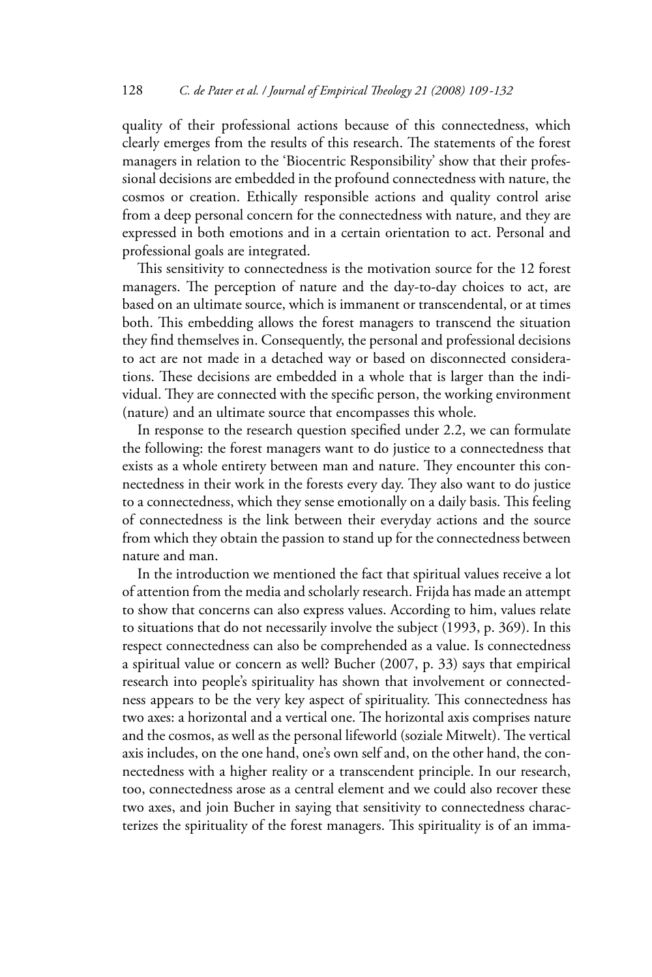quality of their professional actions because of this connectedness, which clearly emerges from the results of this research. The statements of the forest managers in relation to the 'Biocentric Responsibility' show that their professional decisions are embedded in the profound connectedness with nature, the cosmos or creation. Ethically responsible actions and quality control arise from a deep personal concern for the connectedness with nature, and they are expressed in both emotions and in a certain orientation to act. Personal and professional goals are integrated.

This sensitivity to connectedness is the motivation source for the 12 forest managers. The perception of nature and the day-to-day choices to act, are based on an ultimate source, which is immanent or transcendental, or at times both. This embedding allows the forest managers to transcend the situation they find themselves in. Consequently, the personal and professional decisions to act are not made in a detached way or based on disconnected considerations. These decisions are embedded in a whole that is larger than the individual. They are connected with the specific person, the working environment (nature) and an ultimate source that encompasses this whole.

In response to the research question specified under 2.2, we can formulate the following: the forest managers want to do justice to a connectedness that exists as a whole entirety between man and nature. They encounter this connectedness in their work in the forests every day. They also want to do justice to a connectedness, which they sense emotionally on a daily basis. This feeling of connectedness is the link between their everyday actions and the source from which they obtain the passion to stand up for the connectedness between nature and man.

In the introduction we mentioned the fact that spiritual values receive a lot of attention from the media and scholarly research. Frijda has made an attempt to show that concerns can also express values. According to him, values relate to situations that do not necessarily involve the subject (1993, p. 369). In this respect connectedness can also be comprehended as a value. Is connectedness a spiritual value or concern as well? Bucher (2007, p. 33) says that empirical research into people's spirituality has shown that involvement or connectedness appears to be the very key aspect of spirituality. This connectedness has two axes: a horizontal and a vertical one. The horizontal axis comprises nature and the cosmos, as well as the personal lifeworld (soziale Mitwelt). The vertical axis includes, on the one hand, one's own self and, on the other hand, the connectedness with a higher reality or a transcendent principle. In our research, too, connectedness arose as a central element and we could also recover these two axes, and join Bucher in saying that sensitivity to connectedness characterizes the spirituality of the forest managers. This spirituality is of an imma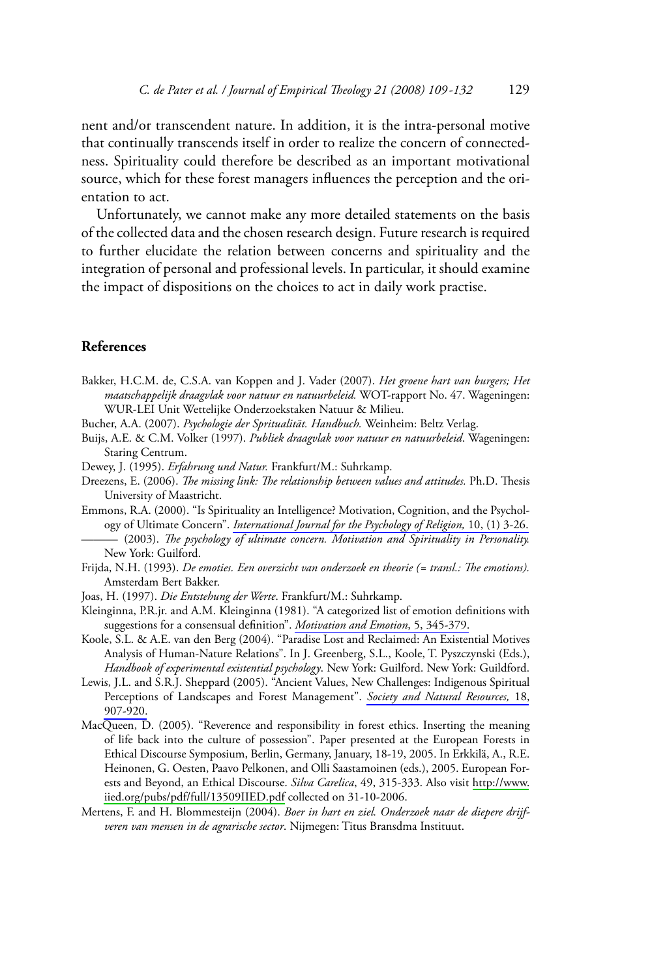nent and/or transcendent nature. In addition, it is the intra-personal motive that continually transcends itself in order to realize the concern of connectedness. Spirituality could therefore be described as an important motivational source, which for these forest managers influences the perception and the orientation to act.

Unfortunately, we cannot make any more detailed statements on the basis of the collected data and the chosen research design. Future research is required to further elucidate the relation between concerns and spirituality and the integration of personal and professional levels. In particular, it should examine the impact of dispositions on the choices to act in daily work practise.

#### **References**

- Bakker, H.C.M. de, C.S.A. van Koppen and J. Vader (2007). Het groene hart van burgers; Het maatschappelijk draagvlak voor natuur en natuurbeleid. WOT-rapport No. 47. Wageningen: WUR-LEI Unit Wettelijke Onderzoekstaken Natuur & Milieu.
- Bucher, A.A. (2007). Psychologie der Spritualität. Handbuch. Weinheim: Beltz Verlag.
- Buijs, A.E. & C.M. Volker (1997). Publiek draagvlak voor natuur en natuurbeleid. Wageningen: Staring Centrum.
- Dewey, J. (1995). Erfahrung und Natur. Frankfurt/M.: Suhrkamp.
- Dreezens, E. (2006). The missing link: The relationship between values and attitudes. Ph.D. Thesis University of Maastricht.
- Emmons, R.A. (2000). "Is Spirituality an Intelligence? Motivation, Cognition, and the Psychology of Ultimate Concern". International Journal for the Psychology of Religion, 10, (1) 3-26. (2003). The psychology of ultimate concern. Motivation and Spirituality in Personality. New York: Guilford.
- Frijda, N.H. (1993). De emoties. Een overzicht van onderzoek en theorie (= transl.: The emotions). Amsterdam Bert Bakker.
- Joas, H. (1997). Die Entstehung der Werte. Frankfurt/M.: Suhrkamp.
- Kleinginna, P.R.jr. and A.M. Kleinginna (1981). "A categorized list of emotion definitions with suggestions for a consensual definition". Motivation and Emotion, 5, 345-379.
- Koole, S.L. & A.E. van den Berg (2004). "Paradise Lost and Reclaimed: An Existential Motives Analysis of Human-Nature Relations". In J. Greenberg, S.L., Koole, T. Pyszczynski (Eds.), Handbook of experimental existential psychology. New York: Guilford. New York: Guildford.
- Lewis, J.L. and S.R.J. Sheppard (2005). "Ancient Values, New Challenges: Indigenous Spiritual Perceptions of Landscapes and Forest Management". Society and Natural Resources, 18, 907-920.
- MacQueen, D. (2005). "Reverence and responsibility in forest ethics. Inserting the meaning of life back into the culture of possession". Paper presented at the European Forests in Ethical Discourse Symposium, Berlin, Germany, January, 18-19, 2005. In Erkkilä, A., R.E. Heinonen, G. Oesten, Paavo Pelkonen, and Olli Saastamoinen (eds.), 2005. European Forests and Beyond, an Ethical Discourse. Silva Carelica, 49, 315-333. Also visit http://www. iied.org/pubs/pdf/full/13509IIED.pdf collected on 31-10-2006.
- Mertens, F. and H. Blommesteijn (2004). Boer in hart en ziel. Onderzoek naar de diepere drijfveren van mensen in de agrarische sector. Nijmegen: Titus Bransdma Instituut.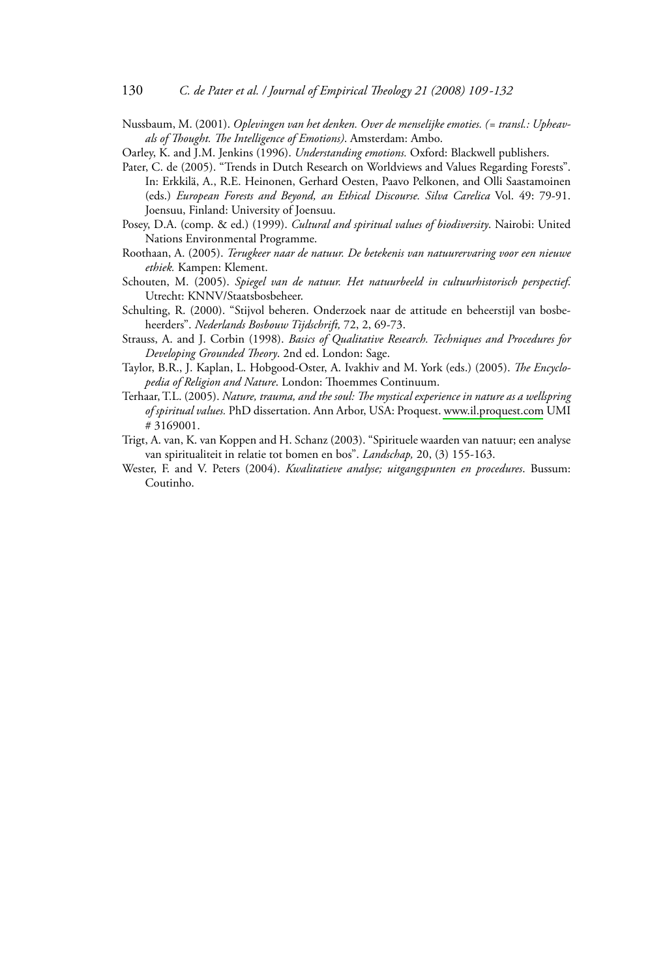Nussbaum, M. (2001). Oplevingen van het denken. Over de menselijke emoties. (= transl.: Upheavals of Thought. The Intelligence of Emotions). Amsterdam: Ambo.

- Pater, C. de (2005). "Trends in Dutch Research on Worldviews and Values Regarding Forests". In: Erkkilä, A., R.E. Heinonen, Gerhard Oesten, Paavo Pelkonen, and Olli Saastamoinen (eds.) European Forests and Beyond, an Ethical Discourse. Silva Carelica Vol. 49: 79-91. Joensuu, Finland: University of Joensuu.
- Posey, D.A. (comp. & ed.) (1999). Cultural and spiritual values of biodiversity. Nairobi: United Nations Environmental Programme.
- Roothaan, A. (2005). Terugkeer naar de natuur. De betekenis van natuurervaring voor een nieuwe ethiek. Kampen: Klement.
- Schouten, M. (2005). Spiegel van de natuur. Het natuurbeeld in cultuurhistorisch perspectief. Utrecht: KNNV/Staatsbosbeheer.
- Schulting, R. (2000). "Stijvol beheren. Onderzoek naar de attitude en beheerstijl van bosbeheerders". Nederlands Bosbouw Tijdschrift, 72, 2, 69-73.
- Strauss, A. and J. Corbin (1998). Basics of Qualitative Research. Techniques and Procedures for Developing Grounded Theory. 2nd ed. London: Sage.
- Taylor, B.R., J. Kaplan, L. Hobgood-Oster, A. Ivakhiv and M. York (eds.) (2005). The Encyclopedia of Religion and Nature. London: Thoemmes Continuum.
- Terhaar, T.L. (2005). Nature, trauma, and the soul: The mystical experience in nature as a wellspring of spiritual values. PhD dissertation. Ann Arbor, USA: Proquest. www.il.proquest.com UMI #3169001.
- Trigt, A. van, K. van Koppen and H. Schanz (2003). "Spirituele waarden van natuur; een analyse van spiritualiteit in relatie tot bomen en bos". Landschap, 20, (3) 155-163.
- Wester, F. and V. Peters (2004). Kwalitatieve analyse; uitgangspunten en procedures. Bussum: Coutinho.

Oarley, K. and J.M. Jenkins (1996). Understanding emotions. Oxford: Blackwell publishers.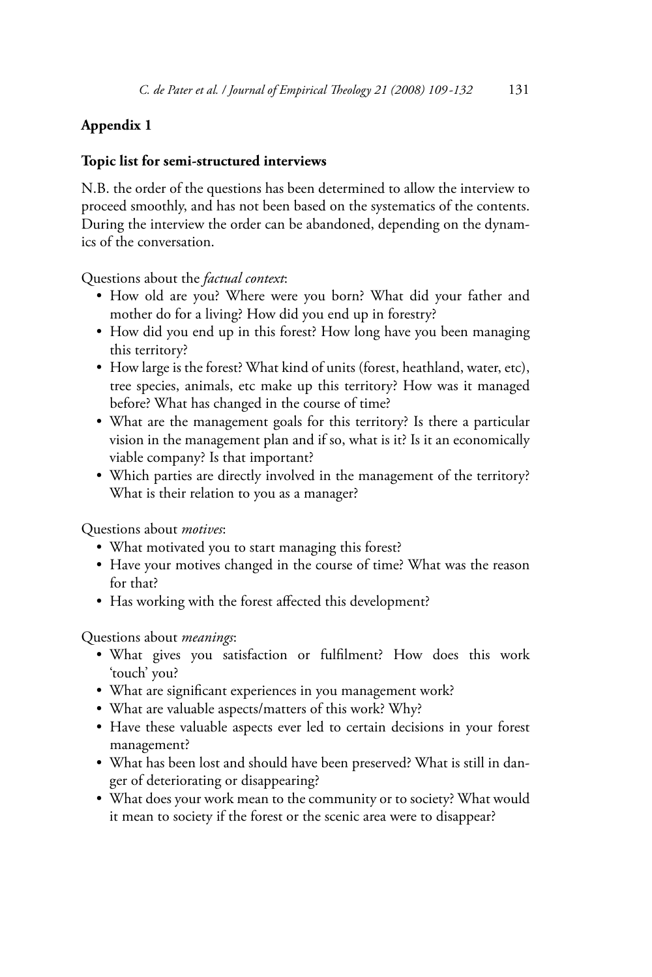# Appendix 1

## Topic list for semi-structured interviews

N.B. the order of the questions has been determined to allow the interview to proceed smoothly, and has not been based on the systematics of the contents. During the interview the order can be abandoned, depending on the dynamics of the conversation.

Questions about the *factual context*:

- How old are you? Where were you born? What did your father and mother do for a living? How did you end up in forestry?
- How did you end up in this forest? How long have you been managing this territory?
- How large is the forest? What kind of units (forest, heathland, water, etc), tree species, animals, etc make up this territory? How was it managed before? What has changed in the course of time?
- What are the management goals for this territory? Is there a particular vision in the management plan and if so, what is it? Is it an economically viable company? Is that important?
- Which parties are directly involved in the management of the territory? What is their relation to you as a manager?

Ouestions about *motives*:

- What motivated you to start managing this forest?
- Have your motives changed in the course of time? What was the reason for that?
- Has working with the forest affected this development?

Questions about *meanings*:

- . What gives you satisfaction or fulfilment? How does this work 'touch' you?
- What are significant experiences in you management work?
- What are valuable aspects/matters of this work? Why?
- Have these valuable aspects ever led to certain decisions in your forest management?
- What has been lost and should have been preserved? What is still in danger of deteriorating or disappearing?
- What does your work mean to the community or to society? What would it mean to society if the forest or the scenic area were to disappear?